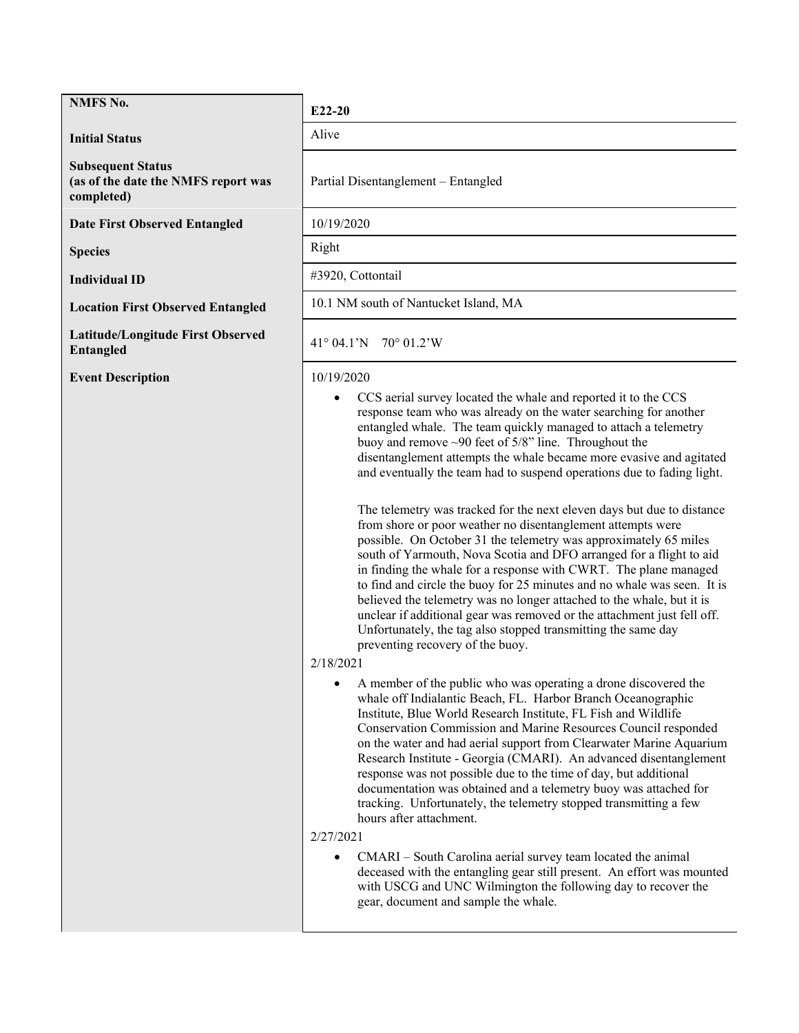# **NMFS No. E22-20**

**Initial Status** Alive

**Subsequent Status (as of the date the NMFS report was completed)**

**Date First Observed Entangled** 10/19/2020

**Latitude/Longitude First Observed Entangled** <sup>41</sup>° 04.1'N 70° 01.2'W

**Event Description** 10/19/2020

Partial Disentanglement – Entangled

**Species** Right

**Individual ID**  $\qquad \qquad \qquad$  #3920, Cottontail

**Location First Observed Entangled 10.1 NM south of Nantucket Island, MA** 

• CCS aerial survey located the whale and reported it to the CCS response team who was already on the water searching for another entangled whale. The team quickly managed to attach a telemetry buoy and remove ~90 feet of 5/8" line. Throughout the disentanglement attempts the whale became more evasive and agitated and eventually the team had to suspend operations due to fading light.

The telemetry was tracked for the next eleven days but due to distance from shore or poor weather no disentanglement attempts were possible. On October 31 the telemetry was approximately 65 miles south of Yarmouth, Nova Scotia and DFO arranged for a flight to aid in finding the whale for a response with CWRT. The plane managed to find and circle the buoy for 25 minutes and no whale was seen. It is believed the telemetry was no longer attached to the whale, but it is unclear if additional gear was removed or the attachment just fell off. Unfortunately, the tag also stopped transmitting the same day preventing recovery of the buoy.

# 2/18/2021

• A member of the public who was operating a drone discovered the whale off Indialantic Beach, FL. Harbor Branch Oceanographic Institute, Blue World Research Institute, FL Fish and Wildlife Conservation Commission and Marine Resources Council responded on the water and had aerial support from Clearwater Marine Aquarium Research Institute - Georgia (CMARI). An advanced disentanglement response was not possible due to the time of day, but additional documentation was obtained and a telemetry buoy was attached for tracking. Unfortunately, the telemetry stopped transmitting a few hours after attachment.

2/27/2021

• CMARI – South Carolina aerial survey team located the animal deceased with the entangling gear still present. An effort was mounted with USCG and UNC Wilmington the following day to recover the gear, document and sample the whale.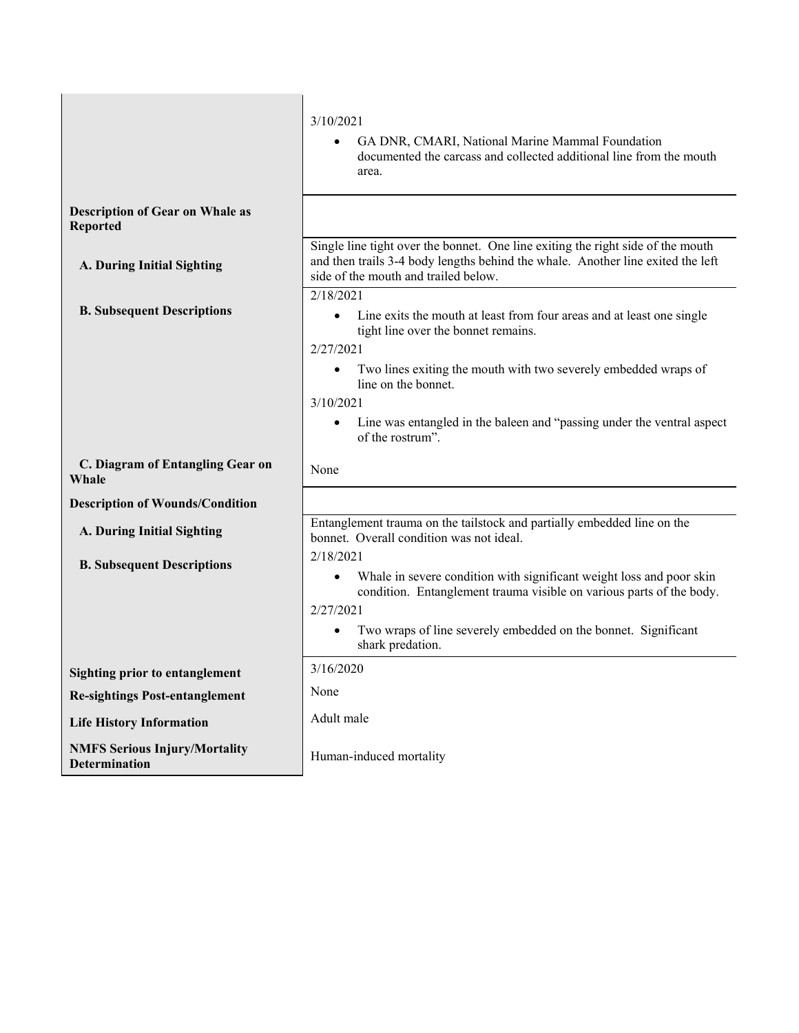|                                                              | 3/10/2021<br>GA DNR, CMARI, National Marine Mammal Foundation<br>documented the carcass and collected additional line from the mouth<br>area.                                                                                                                                          |  |  |
|--------------------------------------------------------------|----------------------------------------------------------------------------------------------------------------------------------------------------------------------------------------------------------------------------------------------------------------------------------------|--|--|
| <b>Description of Gear on Whale as</b><br><b>Reported</b>    |                                                                                                                                                                                                                                                                                        |  |  |
| A. During Initial Sighting                                   | Single line tight over the bonnet. One line exiting the right side of the mouth<br>and then trails 3-4 body lengths behind the whale. Another line exited the left<br>side of the mouth and trailed below.                                                                             |  |  |
| <b>B. Subsequent Descriptions</b>                            | 2/18/2021<br>Line exits the mouth at least from four areas and at least one single<br>$\bullet$<br>tight line over the bonnet remains.<br>2/27/2021                                                                                                                                    |  |  |
|                                                              | Two lines exiting the mouth with two severely embedded wraps of<br>line on the bonnet.<br>3/10/2021<br>Line was entangled in the baleen and "passing under the ventral aspect<br>$\bullet$<br>of the rostrum".                                                                         |  |  |
| C. Diagram of Entangling Gear on<br>Whale                    | None                                                                                                                                                                                                                                                                                   |  |  |
| <b>Description of Wounds/Condition</b>                       |                                                                                                                                                                                                                                                                                        |  |  |
| A. During Initial Sighting                                   | Entanglement trauma on the tailstock and partially embedded line on the<br>bonnet. Overall condition was not ideal.                                                                                                                                                                    |  |  |
| <b>B. Subsequent Descriptions</b>                            | 2/18/2021<br>Whale in severe condition with significant weight loss and poor skin<br>$\bullet$<br>condition. Entanglement trauma visible on various parts of the body.<br>2/27/2021<br>Two wraps of line severely embedded on the bonnet. Significant<br>$\bullet$<br>shark predation. |  |  |
| <b>Sighting prior to entanglement</b>                        | 3/16/2020                                                                                                                                                                                                                                                                              |  |  |
| <b>Re-sightings Post-entanglement</b>                        | None                                                                                                                                                                                                                                                                                   |  |  |
| <b>Life History Information</b>                              | Adult male                                                                                                                                                                                                                                                                             |  |  |
| <b>NMFS Serious Injury/Mortality</b><br><b>Determination</b> | Human-induced mortality                                                                                                                                                                                                                                                                |  |  |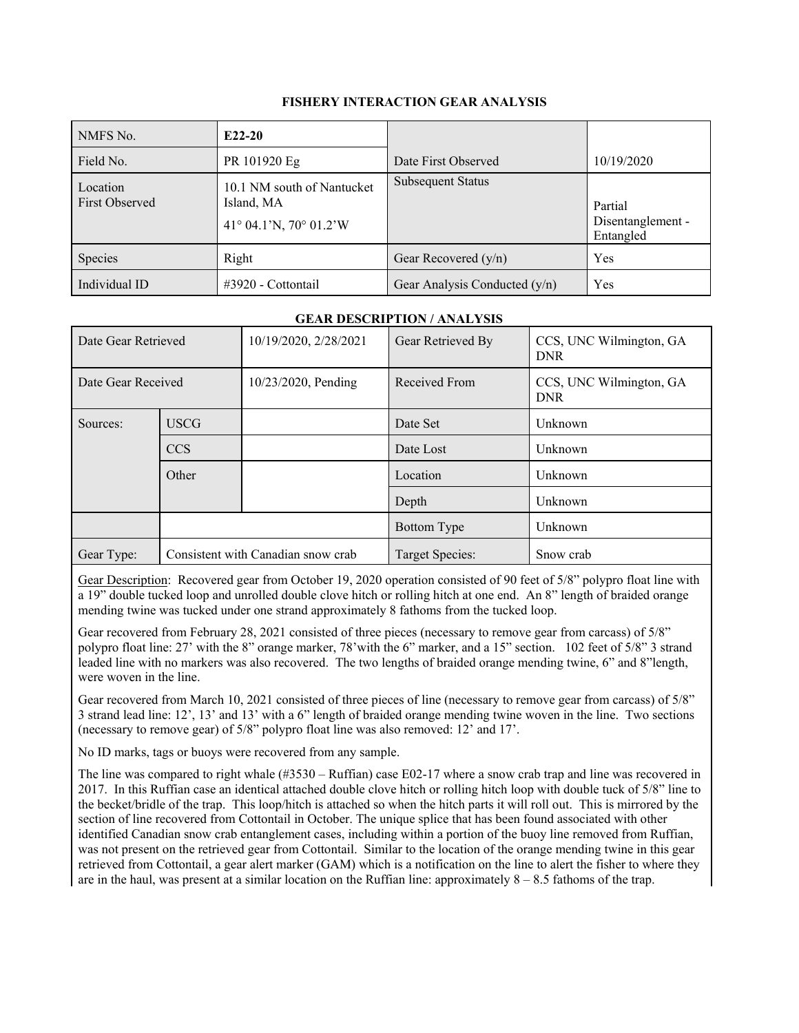## **FISHERY INTERACTION GEAR ANALYSIS**

| NMFS No.                          | $E22-20$                                                           |                                 |                                           |
|-----------------------------------|--------------------------------------------------------------------|---------------------------------|-------------------------------------------|
| Field No.                         | PR 101920 Eg                                                       | Date First Observed             | 10/19/2020                                |
| Location<br><b>First Observed</b> | 10.1 NM south of Nantucket<br>Island, MA<br>41° 04.1'N, 70° 01.2'W | <b>Subsequent Status</b>        | Partial<br>Disentanglement -<br>Entangled |
| Species                           | Right                                                              | Gear Recovered $(y/n)$          | Yes                                       |
| Individual ID                     | $\#3920$ - Cottontail                                              | Gear Analysis Conducted $(y/n)$ | Yes                                       |

## **GEAR DESCRIPTION / ANALYSIS**

| Date Gear Retrieved |                                    | 10/19/2020, 2/28/2021 | Gear Retrieved By | CCS, UNC Wilmington, GA<br><b>DNR</b> |
|---------------------|------------------------------------|-----------------------|-------------------|---------------------------------------|
| Date Gear Received  |                                    | 10/23/2020, Pending   | Received From     | CCS, UNC Wilmington, GA<br><b>DNR</b> |
| Sources:            | <b>USCG</b>                        |                       | Date Set          | Unknown                               |
|                     | <b>CCS</b>                         |                       | Date Lost         | Unknown                               |
|                     | Other                              |                       | Location          | Unknown                               |
|                     |                                    |                       | Depth             | Unknown                               |
|                     |                                    |                       | Bottom Type       | Unknown                               |
| Gear Type:          | Consistent with Canadian snow crab |                       | Target Species:   | Snow crab                             |

Gear Description: Recovered gear from October 19, 2020 operation consisted of 90 feet of 5/8" polypro float line with a 19" double tucked loop and unrolled double clove hitch or rolling hitch at one end. An 8" length of braided orange mending twine was tucked under one strand approximately 8 fathoms from the tucked loop.

Gear recovered from February 28, 2021 consisted of three pieces (necessary to remove gear from carcass) of 5/8" polypro float line: 27' with the 8" orange marker, 78'with the 6" marker, and a 15" section. 102 feet of 5/8" 3 strand leaded line with no markers was also recovered. The two lengths of braided orange mending twine, 6" and 8"length, were woven in the line.

Gear recovered from March 10, 2021 consisted of three pieces of line (necessary to remove gear from carcass) of 5/8" 3 strand lead line: 12', 13' and 13' with a 6" length of braided orange mending twine woven in the line. Two sections (necessary to remove gear) of 5/8" polypro float line was also removed: 12' and 17'.

No ID marks, tags or buoys were recovered from any sample.

The line was compared to right whale (#3530 – Ruffian) case E02-17 where a snow crab trap and line was recovered in 2017. In this Ruffian case an identical attached double clove hitch or rolling hitch loop with double tuck of 5/8" line to the becket/bridle of the trap. This loop/hitch is attached so when the hitch parts it will roll out. This is mirrored by the section of line recovered from Cottontail in October. The unique splice that has been found associated with other identified Canadian snow crab entanglement cases, including within a portion of the buoy line removed from Ruffian, was not present on the retrieved gear from Cottontail. Similar to the location of the orange mending twine in this gear retrieved from Cottontail, a gear alert marker (GAM) which is a notification on the line to alert the fisher to where they are in the haul, was present at a similar location on the Ruffian line: approximately  $8 - 8.5$  fathoms of the trap.